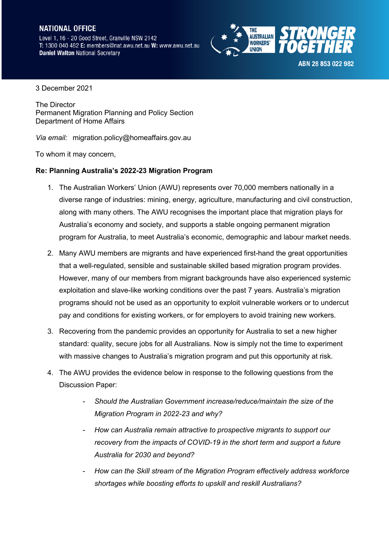## **NATIONAL OFFICE**

Level 1, 16 - 20 Good Street, Granville NSW 2142 T: 1300 040 482 E: members@nat.awu.net.au W: www.awu.net.au **Daniel Walton National Secretary** 



ABN 28 853 022 982

3 December 2021

The Director Permanent Migration Planning and Policy Section Department of Home Affairs

*Via email:* migration.policy@homeaffairs.gov.au

To whom it may concern,

## **Re: Planning Australia's 2022-23 Migration Program**

- 1. The Australian Workers' Union (AWU) represents over 70,000 members nationally in a diverse range of industries: mining, energy, agriculture, manufacturing and civil construction, along with many others. The AWU recognises the important place that migration plays for Australia's economy and society, and supports a stable ongoing permanent migration program for Australia, to meet Australia's economic, demographic and labour market needs.
- 2. Many AWU members are migrants and have experienced first-hand the great opportunities that a well-regulated, sensible and sustainable skilled based migration program provides. However, many of our members from migrant backgrounds have also experienced systemic exploitation and slave-like working conditions over the past 7 years. Australia's migration programs should not be used as an opportunity to exploit vulnerable workers or to undercut pay and conditions for existing workers, or for employers to avoid training new workers.
- 3. Recovering from the pandemic provides an opportunity for Australia to set a new higher standard: quality, secure jobs for all Australians. Now is simply not the time to experiment with massive changes to Australia's migration program and put this opportunity at risk.
- 4. The AWU provides the evidence below in response to the following questions from the Discussion Paper:
	- *Should the Australian Government increase/reduce/maintain the size of the Migration Program in 2022-23 and why?*
	- *How can Australia remain attractive to prospective migrants to support our recovery from the impacts of COVID-19 in the short term and support a future Australia for 2030 and beyond?*
	- *How can the Skill stream of the Migration Program effectively address workforce shortages while boosting efforts to upskill and reskill Australians?*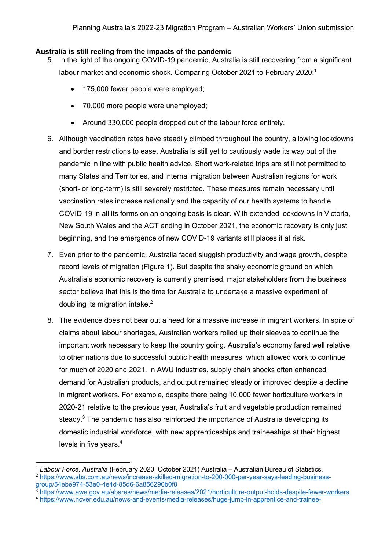## **Australia is still reeling from the impacts of the pandemic**

- 5. In the light of the ongoing COVID-19 pandemic, Australia is still recovering from a significant labour market and economic shock. Comparing October 2021 to February 2020:<sup>1</sup>
	- 175,000 fewer people were employed;
	- 70,000 more people were unemployed;
	- Around 330,000 people dropped out of the labour force entirely.
- 6. Although vaccination rates have steadily climbed throughout the country, allowing lockdowns and border restrictions to ease, Australia is still yet to cautiously wade its way out of the pandemic in line with public health advice. Short work-related trips are still not permitted to many States and Territories, and internal migration between Australian regions for work (short- or long-term) is still severely restricted. These measures remain necessary until vaccination rates increase nationally and the capacity of our health systems to handle COVID-19 in all its forms on an ongoing basis is clear. With extended lockdowns in Victoria, New South Wales and the ACT ending in October 2021, the economic recovery is only just beginning, and the emergence of new COVID-19 variants still places it at risk.
- 7. Even prior to the pandemic, Australia faced sluggish productivity and wage growth, despite record levels of migration (Figure 1). But despite the shaky economic ground on which Australia's economic recovery is currently premised, major stakeholders from the business sector believe that this is the time for Australia to undertake a massive experiment of doubling its migration intake.<sup>2</sup>
- 8. The evidence does not bear out a need for a massive increase in migrant workers. In spite of claims about labour shortages, Australian workers rolled up their sleeves to continue the important work necessary to keep the country going. Australia's economy fared well relative to other nations due to successful public health measures, which allowed work to continue for much of 2020 and 2021. In AWU industries, supply chain shocks often enhanced demand for Australian products, and output remained steady or improved despite a decline in migrant workers. For example, despite there being 10,000 fewer horticulture workers in 2020-21 relative to the previous year, Australia's fruit and vegetable production remained steady.<sup>3</sup> The pandemic has also reinforced the importance of Australia developing its domestic industrial workforce, with new apprenticeships and traineeships at their highest levels in five years.<sup>4</sup>

- $3$  https://www.awe.gov.au/abares/news/media-releases/2021/horticulture-output-holds-despite-fewer-workers
- <sup>4</sup> https://www.ncver.edu.au/news-and-events/media-releases/huge-jump-in-apprentice-and-trainee-

<sup>&</sup>lt;sup>1</sup> Labour Force, Australia (February 2020, October 2021) Australia – Australian Bureau of Statistics.

<sup>2</sup> https://www.sbs.com.au/news/increase-skilled-migration-to-200-000-per-year-says-leading-businessgroup/54ebe974-53e0-4e4d-85d6-6a856290b0f8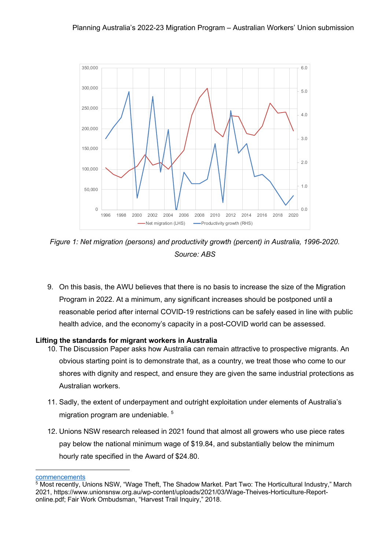

*Figure 1: Net migration (persons) and productivity growth (percent) in Australia, 1996-2020. Source: ABS*

9. On this basis, the AWU believes that there is no basis to increase the size of the Migration Program in 2022. At a minimum, any significant increases should be postponed until a reasonable period after internal COVID-19 restrictions can be safely eased in line with public health advice, and the economy's capacity in a post-COVID world can be assessed.

## **Lifting the standards for migrant workers in Australia**

- 10. The Discussion Paper asks how Australia can remain attractive to prospective migrants. An obvious starting point is to demonstrate that, as a country, we treat those who come to our shores with dignity and respect, and ensure they are given the same industrial protections as Australian workers.
- 11. Sadly, the extent of underpayment and outright exploitation under elements of Australia's migration program are undeniable. 5
- 12. Unions NSW research released in 2021 found that almost all growers who use piece rates pay below the national minimum wage of \$19.84, and substantially below the minimum hourly rate specified in the Award of \$24.80.

commencements

 $5$  Most recently, Unions NSW, "Wage Theft, The Shadow Market. Part Two: The Horticultural Industry," March 2021, https://www.unionsnsw.org.au/wp-content/uploads/2021/03/Wage-Theives-Horticulture-Reportonline.pdf; Fair Work Ombudsman, "Harvest Trail Inquiry," 2018.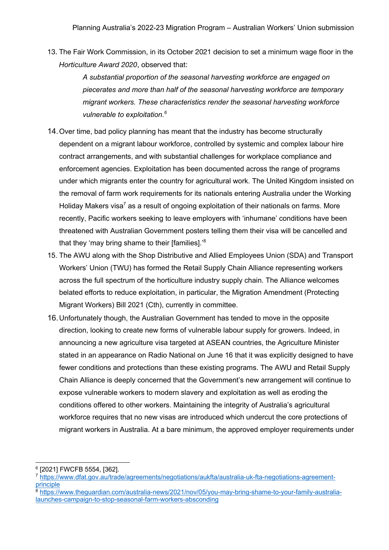13. The Fair Work Commission, in its October 2021 decision to set a minimum wage floor in the *Horticulture Award 2020*, observed that:

> *A substantial proportion of the seasonal harvesting workforce are engaged on piecerates and more than half of the seasonal harvesting workforce are temporary migrant workers. These characteristics render the seasonal harvesting workforce vulnerable to exploitation.<sup>6</sup>*

- 14.Over time, bad policy planning has meant that the industry has become structurally dependent on a migrant labour workforce, controlled by systemic and complex labour hire contract arrangements, and with substantial challenges for workplace compliance and enforcement agencies. Exploitation has been documented across the range of programs under which migrants enter the country for agricultural work. The United Kingdom insisted on the removal of farm work requirements for its nationals entering Australia under the Working Holiday Makers visa<sup>7</sup> as a result of ongoing exploitation of their nationals on farms. More recently, Pacific workers seeking to leave employers with 'inhumane' conditions have been threatened with Australian Government posters telling them their visa will be cancelled and that they 'may bring shame to their [families].<sup>'8</sup>
- 15. The AWU along with the Shop Distributive and Allied Employees Union (SDA) and Transport Workers' Union (TWU) has formed the Retail Supply Chain Alliance representing workers across the full spectrum of the horticulture industry supply chain. The Alliance welcomes belated efforts to reduce exploitation, in particular, the Migration Amendment (Protecting Migrant Workers) Bill 2021 (Cth), currently in committee.
- 16.Unfortunately though, the Australian Government has tended to move in the opposite direction, looking to create new forms of vulnerable labour supply for growers. Indeed, in announcing a new agriculture visa targeted at ASEAN countries, the Agriculture Minister stated in an appearance on Radio National on June 16 that it was explicitly designed to have fewer conditions and protections than these existing programs. The AWU and Retail Supply Chain Alliance is deeply concerned that the Government's new arrangement will continue to expose vulnerable workers to modern slavery and exploitation as well as eroding the conditions offered to other workers. Maintaining the integrity of Australia's agricultural workforce requires that no new visas are introduced which undercut the core protections of migrant workers in Australia. At a bare minimum, the approved employer requirements under

<sup>8</sup> https://www.theguardian.com/australia-news/2021/nov/05/you-may-bring-shame-to-your-family-australialaunches-campaign-to-stop-seasonal-farm-workers-absconding

<sup>6</sup> [2021] FWCFB 5554, [362].

<sup>7</sup> https://www.dfat.gov.au/trade/agreements/negotiations/aukfta/australia-uk-fta-negotiations-agreementprinciple